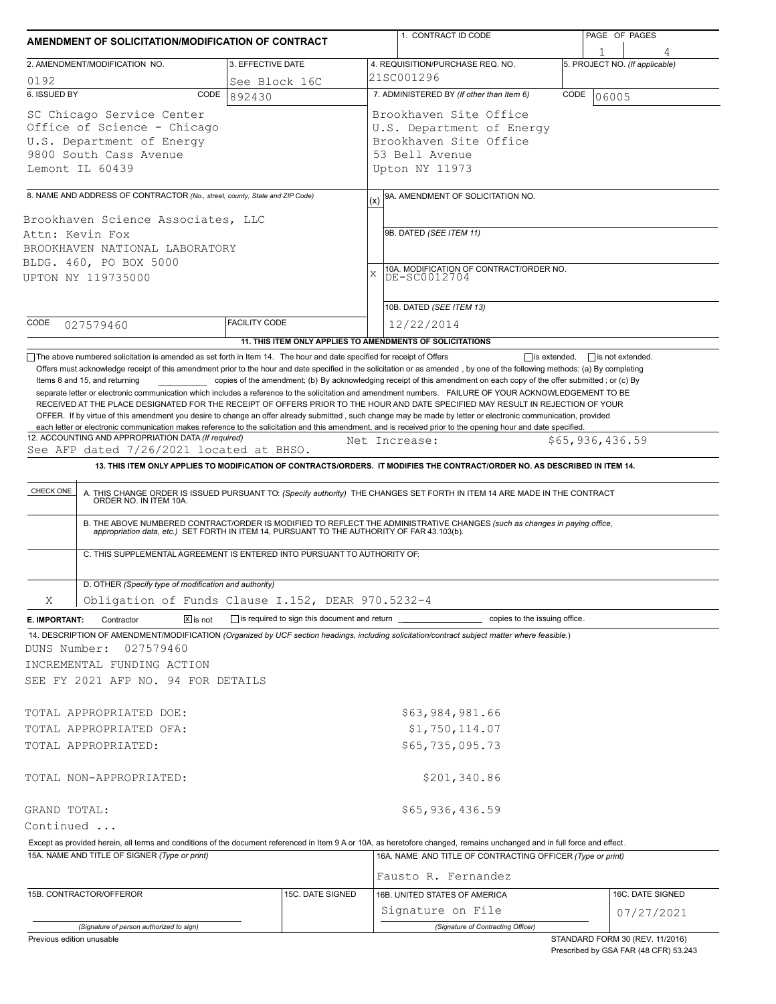| AMENDMENT OF SOLICITATION/MODIFICATION OF CONTRACT                                                                                                                         |                         |                                              |     | 1. CONTRACT ID CODE                                                                                                                                                                                                                                                                                                                                                          |      | PAGE OF PAGES                  |  |  |
|----------------------------------------------------------------------------------------------------------------------------------------------------------------------------|-------------------------|----------------------------------------------|-----|------------------------------------------------------------------------------------------------------------------------------------------------------------------------------------------------------------------------------------------------------------------------------------------------------------------------------------------------------------------------------|------|--------------------------------|--|--|
|                                                                                                                                                                            |                         |                                              |     |                                                                                                                                                                                                                                                                                                                                                                              |      |                                |  |  |
| 2. AMENDMENT/MODIFICATION NO.                                                                                                                                              | 3. EFFECTIVE DATE       |                                              |     | 4. REQUISITION/PURCHASE REQ. NO.<br>21SC001296                                                                                                                                                                                                                                                                                                                               |      | 5. PROJECT NO. (If applicable) |  |  |
| 0192<br>6. ISSUED BY<br>CODE                                                                                                                                               | See Block 16C<br>892430 |                                              |     | 7. ADMINISTERED BY (If other than Item 6)                                                                                                                                                                                                                                                                                                                                    | CODE | 06005                          |  |  |
| SC Chicago Service Center<br>Office of Science - Chicago<br>U.S. Department of Energy<br>9800 South Cass Avenue<br>Lemont IL 60439                                         |                         |                                              |     | Brookhaven Site Office<br>U.S. Department of Energy<br>Brookhaven Site Office<br>53 Bell Avenue<br>Upton NY 11973                                                                                                                                                                                                                                                            |      |                                |  |  |
|                                                                                                                                                                            |                         |                                              |     |                                                                                                                                                                                                                                                                                                                                                                              |      |                                |  |  |
| 8. NAME AND ADDRESS OF CONTRACTOR (No., street, county, State and ZIP Code)                                                                                                |                         |                                              | (x) | 9A. AMENDMENT OF SOLICITATION NO.                                                                                                                                                                                                                                                                                                                                            |      |                                |  |  |
| Brookhaven Science Associates, LLC<br>Attn: Kevin Fox<br>BROOKHAVEN NATIONAL LABORATORY<br>BLDG. 460, PO BOX 5000<br>UPTON NY 119735000                                    |                         |                                              | X   | 9B. DATED (SEE ITEM 11)<br>10A. MODIFICATION OF CONTRACT/ORDER NO.<br>DE-SC0012704                                                                                                                                                                                                                                                                                           |      |                                |  |  |
|                                                                                                                                                                            |                         |                                              |     | 10B. DATED (SEE ITEM 13)                                                                                                                                                                                                                                                                                                                                                     |      |                                |  |  |
| CODE<br>027579460                                                                                                                                                          | <b>FACILITY CODE</b>    |                                              |     | 12/22/2014                                                                                                                                                                                                                                                                                                                                                                   |      |                                |  |  |
|                                                                                                                                                                            |                         |                                              |     | 11. THIS ITEM ONLY APPLIES TO AMENDMENTS OF SOLICITATIONS                                                                                                                                                                                                                                                                                                                    |      |                                |  |  |
| CHECK ONE                                                                                                                                                                  |                         |                                              |     | A. THIS CHANGE ORDER IS ISSUED PURSUANT TO: (Specify authority) THE CHANGES SET FORTH IN ITEM 14 ARE MADE IN THE CONTRACT ORDER NO. IN ITEM 10A.<br>B. THE ABOVE NUMBERED CONTRACT/ORDER IS MODIFIED TO REFLECT THE ADMINISTRATIVE CHANGES (such as changes in paying office,<br>appropriation data, etc.) SET FORTH IN ITEM 14, PURSUANT TO THE AUTHORITY OF FAR 43.103(b). |      |                                |  |  |
| C. THIS SUPPLEMENTAL AGREEMENT IS ENTERED INTO PURSUANT TO AUTHORITY OF:                                                                                                   |                         |                                              |     |                                                                                                                                                                                                                                                                                                                                                                              |      |                                |  |  |
| D. OTHER (Specify type of modification and authority)                                                                                                                      |                         |                                              |     |                                                                                                                                                                                                                                                                                                                                                                              |      |                                |  |  |
| Obligation of Funds Clause I.152, DEAR 970.5232-4<br>Χ                                                                                                                     |                         |                                              |     |                                                                                                                                                                                                                                                                                                                                                                              |      |                                |  |  |
| $\boxed{\mathsf{X}}$ is not<br>E. IMPORTANT:<br>Contractor                                                                                                                 |                         | is required to sign this document and return |     | copies to the issuing office.                                                                                                                                                                                                                                                                                                                                                |      |                                |  |  |
| 14. DESCRIPTION OF AMENDMENT/MODIFICATION (Organized by UCF section headings, including solicitation/contract subject matter where feasible.)<br>DUNS Number:<br>027579460 |                         |                                              |     |                                                                                                                                                                                                                                                                                                                                                                              |      |                                |  |  |
| INCREMENTAL FUNDING ACTION                                                                                                                                                 |                         |                                              |     |                                                                                                                                                                                                                                                                                                                                                                              |      |                                |  |  |
| SEE FY 2021 AFP NO. 94 FOR DETAILS                                                                                                                                         |                         |                                              |     |                                                                                                                                                                                                                                                                                                                                                                              |      |                                |  |  |
| TOTAL APPROPRIATED DOE:                                                                                                                                                    |                         |                                              |     | \$63,984,981.66                                                                                                                                                                                                                                                                                                                                                              |      |                                |  |  |
| TOTAL APPROPRIATED OFA:                                                                                                                                                    |                         |                                              |     | \$1,750,114.07                                                                                                                                                                                                                                                                                                                                                               |      |                                |  |  |
| TOTAL APPROPRIATED:                                                                                                                                                        |                         |                                              |     | \$65,735,095.73                                                                                                                                                                                                                                                                                                                                                              |      |                                |  |  |
|                                                                                                                                                                            |                         |                                              |     |                                                                                                                                                                                                                                                                                                                                                                              |      |                                |  |  |
| TOTAL NON-APPROPRIATED:                                                                                                                                                    |                         |                                              |     | \$201,340.86                                                                                                                                                                                                                                                                                                                                                                 |      |                                |  |  |
| GRAND TOTAL:                                                                                                                                                               |                         |                                              |     | \$65,936,436.59                                                                                                                                                                                                                                                                                                                                                              |      |                                |  |  |
| Continued                                                                                                                                                                  |                         |                                              |     |                                                                                                                                                                                                                                                                                                                                                                              |      |                                |  |  |
| Except as provided herein, all terms and conditions of the document referenced in Item 9 A or 10A, as heretofore changed, remains unchanged and in full force and effect.  |                         |                                              |     |                                                                                                                                                                                                                                                                                                                                                                              |      |                                |  |  |
| 15A. NAME AND TITLE OF SIGNER (Type or print)                                                                                                                              |                         |                                              |     | 16A. NAME AND TITLE OF CONTRACTING OFFICER (Type or print)                                                                                                                                                                                                                                                                                                                   |      |                                |  |  |
|                                                                                                                                                                            |                         |                                              |     | Fausto R. Fernandez                                                                                                                                                                                                                                                                                                                                                          |      |                                |  |  |
| 15B. CONTRACTOR/OFFEROR                                                                                                                                                    |                         | 15C. DATE SIGNED                             |     | 16B. UNITED STATES OF AMERICA                                                                                                                                                                                                                                                                                                                                                |      | 16C. DATE SIGNED               |  |  |
|                                                                                                                                                                            |                         |                                              |     | Signature on File                                                                                                                                                                                                                                                                                                                                                            |      | 07/27/2021                     |  |  |
| (Signature of person authorized to sign)                                                                                                                                   |                         |                                              |     | (Signature of Contracting Officer)                                                                                                                                                                                                                                                                                                                                           |      |                                |  |  |

Previous edition unusable

STANDARD FORM 30 (REV. 11/2016) Prescribed by GSA FAR (48 CFR) 53.243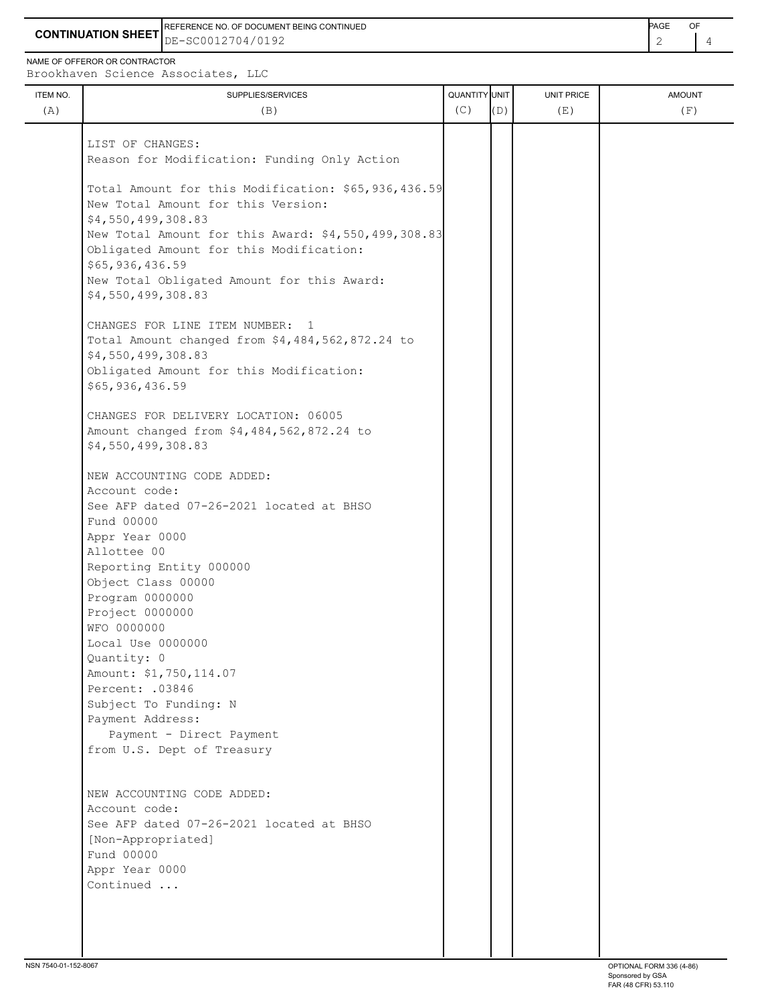**CONTINUATION SHEET** DE-SC0012704/0192 2 4 REFERENCE NO. OF DOCUMENT BEING CONTINUED **A CONTINUED PAGE OF PAGE OF PAGE OF PAGE** 

NAME OF OFFEROR OR CONTRACTOR

ITEM NO. ┃ SUPPLIES/SERVICES UNIT PRICE AMOUNT Brookhaven Science Associates, LLC (A)  $(B)$  (B)  $(C)$   $(D)$  (E)  $(E)$  (F) LIST OF CHANGES: Reason for Modification: Funding Only Action Total Amount for this Modification: \$65,936,436.59 New Total Amount for this Version: \$4,550,499,308.83 New Total Amount for this Award: \$4,550,499,308.83 Obligated Amount for this Modification: \$65,936,436.59 New Total Obligated Amount for this Award: \$4,550,499,308.83 CHANGES FOR LINE ITEM NUMBER: 1 Total Amount changed from \$4,484,562,872.24 to \$4,550,499,308.83 Obligated Amount for this Modification: \$65,936,436.59 CHANGES FOR DELIVERY LOCATION: 06005 Amount changed from \$4,484,562,872.24 to \$4,550,499,308.83 NEW ACCOUNTING CODE ADDED: Account code: See AFP dated 07-26-2021 located at BHSO Fund 00000 Appr Year 0000 Allottee 00 Reporting Entity 000000 Object Class 00000 Program 0000000 Project 0000000 WFO 0000000 Local Use 0000000 Quantity: 0 Amount: \$1,750,114.07 Percent: .03846 Subject To Funding: N Payment Address: Payment - Direct Payment from U.S. Dept of Treasury NEW ACCOUNTING CODE ADDED: Account code: See AFP dated 07-26-2021 located at BHSO [Non-Appropriated] Fund 00000 Appr Year 0000 Continued ...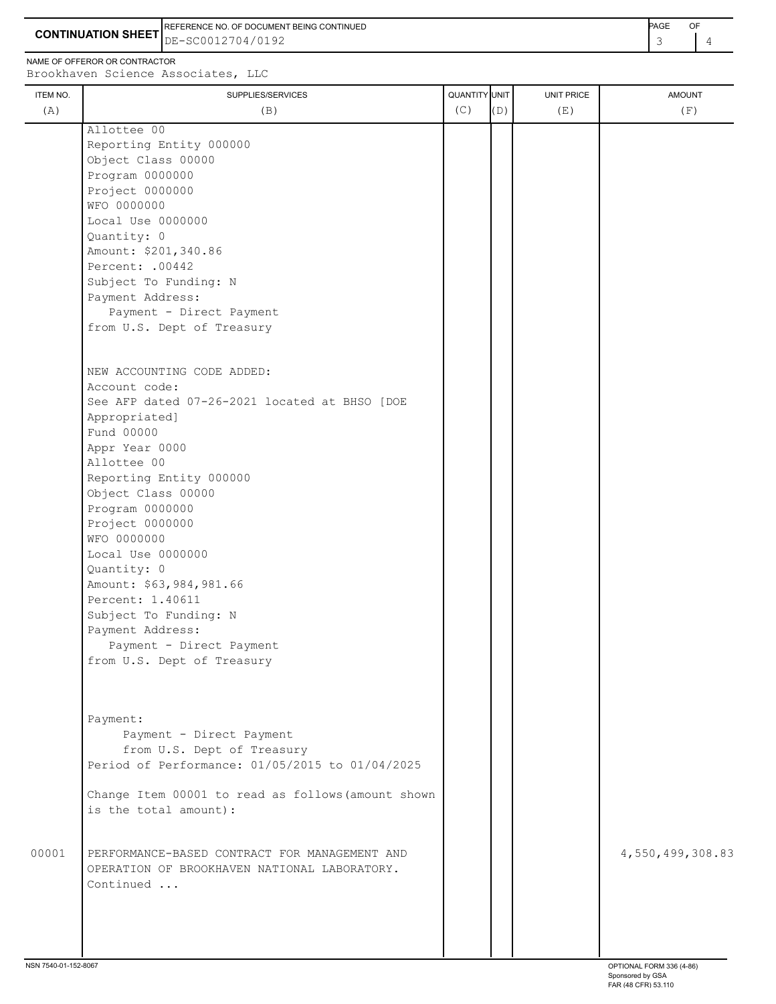**CONTINUATION SHEET** DE-SC0012704/0192 **1 A CONTINUATION SHEET**  $\begin{bmatrix} 3 & 4 \end{bmatrix}$ REFERENCE NO. OF DOCUMENT BEING CONTINUED **EXAMPLE 2008** PAGE OF

NAME OF OFFEROR OR CONTRACTOR

| ITEM NO. | SUPPLIES/SERVICES                                  | QUANTITY UNIT |     | UNIT PRICE | <b>AMOUNT</b>    |
|----------|----------------------------------------------------|---------------|-----|------------|------------------|
| (A)      | (B)                                                | (C)           | (D) | (E)        | (F)              |
|          | Allottee 00                                        |               |     |            |                  |
|          | Reporting Entity 000000                            |               |     |            |                  |
|          | Object Class 00000                                 |               |     |            |                  |
|          | Program 0000000                                    |               |     |            |                  |
|          | Project 0000000                                    |               |     |            |                  |
|          | WFO 0000000                                        |               |     |            |                  |
|          | Local Use 0000000                                  |               |     |            |                  |
|          | Quantity: 0                                        |               |     |            |                  |
|          | Amount: \$201,340.86                               |               |     |            |                  |
|          | Percent: .00442                                    |               |     |            |                  |
|          | Subject To Funding: N                              |               |     |            |                  |
|          | Payment Address:                                   |               |     |            |                  |
|          | Payment - Direct Payment                           |               |     |            |                  |
|          | from U.S. Dept of Treasury                         |               |     |            |                  |
|          |                                                    |               |     |            |                  |
|          | NEW ACCOUNTING CODE ADDED:                         |               |     |            |                  |
|          | Account code:                                      |               |     |            |                  |
|          | See AFP dated 07-26-2021 located at BHSO [DOE      |               |     |            |                  |
|          | Appropriated]                                      |               |     |            |                  |
|          | Fund 00000                                         |               |     |            |                  |
|          | Appr Year 0000                                     |               |     |            |                  |
|          | Allottee 00                                        |               |     |            |                  |
|          | Reporting Entity 000000                            |               |     |            |                  |
|          | Object Class 00000                                 |               |     |            |                  |
|          | Program 0000000                                    |               |     |            |                  |
|          | Project 0000000                                    |               |     |            |                  |
|          | WFO 0000000                                        |               |     |            |                  |
|          | Local Use 0000000                                  |               |     |            |                  |
|          | Quantity: 0                                        |               |     |            |                  |
|          | Amount: \$63,984,981.66                            |               |     |            |                  |
|          | Percent: 1.40611                                   |               |     |            |                  |
|          | Subject To Funding: N                              |               |     |            |                  |
|          | Payment Address:                                   |               |     |            |                  |
|          | Payment - Direct Payment                           |               |     |            |                  |
|          | from U.S. Dept of Treasury                         |               |     |            |                  |
|          |                                                    |               |     |            |                  |
|          |                                                    |               |     |            |                  |
|          | Payment:                                           |               |     |            |                  |
|          | Payment - Direct Payment                           |               |     |            |                  |
|          | from U.S. Dept of Treasury                         |               |     |            |                  |
|          | Period of Performance: 01/05/2015 to 01/04/2025    |               |     |            |                  |
|          |                                                    |               |     |            |                  |
|          | Change Item 00001 to read as follows (amount shown |               |     |            |                  |
|          | is the total amount):                              |               |     |            |                  |
|          |                                                    |               |     |            |                  |
| 00001    | PERFORMANCE-BASED CONTRACT FOR MANAGEMENT AND      |               |     |            | 4,550,499,308.83 |
|          | OPERATION OF BROOKHAVEN NATIONAL LABORATORY.       |               |     |            |                  |
|          | Continued                                          |               |     |            |                  |
|          |                                                    |               |     |            |                  |
|          |                                                    |               |     |            |                  |
|          |                                                    |               |     |            |                  |